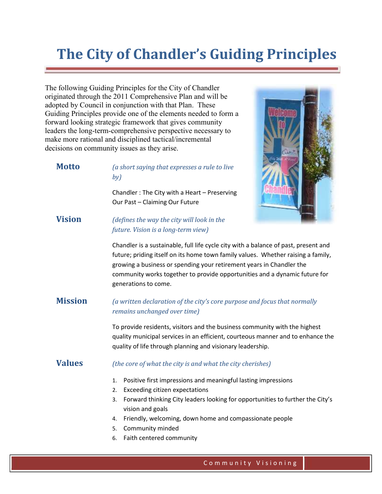# **The City of Chandler's Guiding Principles**

The following Guiding Principles for the City of Chandler originated through the 2011 Comprehensive Plan and will be adopted by Council in conjunction with that Plan. These Guiding Principles provide one of the elements needed to form a forward looking strategic framework that gives community leaders the long-term-comprehensive perspective necessary to make more rational and disciplined tactical/incremental decisions on community issues as they arise.

1. VISIONING

**Motto** *(a short saying that expresses a rule to live by)* Chandler : The City with a Heart – Preserving Our Past – Claiming Our Future



**Vision** *(defines the way the city will look in the future. Vision is a long-term view)*

> Chandler is a sustainable, full life cycle city with a balance of past, present and future; priding itself on its home town family values. Whether raising a family, growing a business or spending your retirement years in Chandler the community works together to provide opportunities and a dynamic future for generations to come.

## **Mission** *(a written declaration of the city's core purpose and focus that normally remains unchanged over time)*

To provide residents, visitors and the business community with the highest quality municipal services in an efficient, courteous manner and to enhance the quality of life through planning and visionary leadership.

### **Values** *(the core of what the city is and what the city cherishes)*

- 1. Positive first impressions and meaningful lasting impressions
- 2. Exceeding citizen expectations
- 3. Forward thinking City leaders looking for opportunities to further the City's vision and goals
- 4. Friendly, welcoming, down home and compassionate people
- 5. Community minded
- 6. Faith centered community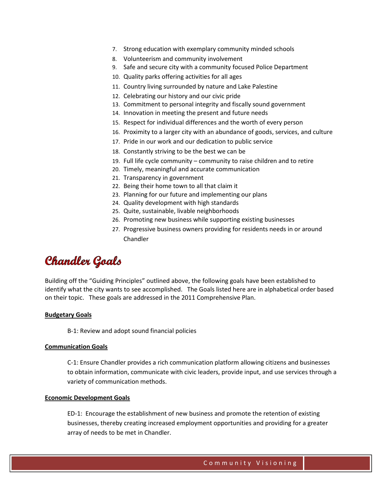- 7. Strong education with exemplary community minded schools
- 8. Volunteerism and community involvement
- 9. Safe and secure city with a community focused Police Department
- 10. Quality parks offering activities for all ages
- 11. Country living surrounded by nature and Lake Palestine
- 12. Celebrating our history and our civic pride
- 13. Commitment to personal integrity and fiscally sound government
- 14. Innovation in meeting the present and future needs
- 15. Respect for individual differences and the worth of every person
- 16. Proximity to a larger city with an abundance of goods, services, and culture
- 17. Pride in our work and our dedication to public service
- 18. Constantly striving to be the best we can be
- 19. Full life cycle community community to raise children and to retire
- 20. Timely, meaningful and accurate communication
- 21. Transparency in government
- 22. Being their home town to all that claim it
- 23. Planning for our future and implementing our plans
- 24. Quality development with high standards
- 25. Quite, sustainable, livable neighborhoods
- 26. Promoting new business while supporting existing businesses
- 27. Progressive business owners providing for residents needs in or around Chandler

# **Chandler Goals**

Building off the "Guiding Principles" outlined above, the following goals have been established to identify what the city wants to see accomplished. The Goals listed here are in alphabetical order based on their topic. These goals are addressed in the 2011 Comprehensive Plan.

#### **Budgetary Goals**

B-1: Review and adopt sound financial policies

#### **Communication Goals**

C-1: Ensure Chandler provides a rich communication platform allowing citizens and businesses to obtain information, communicate with civic leaders, provide input, and use services through a variety of communication methods.

#### **Economic Development Goals**

ED-1: Encourage the establishment of new business and promote the retention of existing businesses, thereby creating increased employment opportunities and providing for a greater array of needs to be met in Chandler.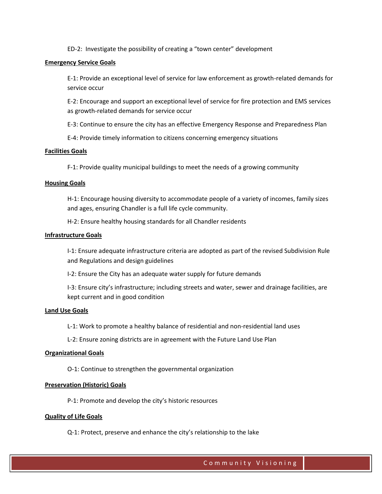ED-2: Investigate the possibility of creating a "town center" development

#### **Emergency Service Goals**

E-1: Provide an exceptional level of service for law enforcement as growth-related demands for service occur

E-2: Encourage and support an exceptional level of service for fire protection and EMS services as growth-related demands for service occur

E-3: Continue to ensure the city has an effective Emergency Response and Preparedness Plan

E-4: Provide timely information to citizens concerning emergency situations

#### **Facilities Goals**

F-1: Provide quality municipal buildings to meet the needs of a growing community

#### **Housing Goals**

H-1: Encourage housing diversity to accommodate people of a variety of incomes, family sizes and ages, ensuring Chandler is a full life cycle community.

H-2: Ensure healthy housing standards for all Chandler residents

#### **Infrastructure Goals**

I-1: Ensure adequate infrastructure criteria are adopted as part of the revised Subdivision Rule and Regulations and design guidelines

I-2: Ensure the City has an adequate water supply for future demands

I-3: Ensure city's infrastructure; including streets and water, sewer and drainage facilities, are kept current and in good condition

#### **Land Use Goals**

L-1: Work to promote a healthy balance of residential and non-residential land uses

L-2: Ensure zoning districts are in agreement with the Future Land Use Plan

#### **Organizational Goals**

O-1: Continue to strengthen the governmental organization

#### **Preservation (Historic) Goals**

P-1: Promote and develop the city's historic resources

#### **Quality of Life Goals**

Q-1: Protect, preserve and enhance the city's relationship to the lake